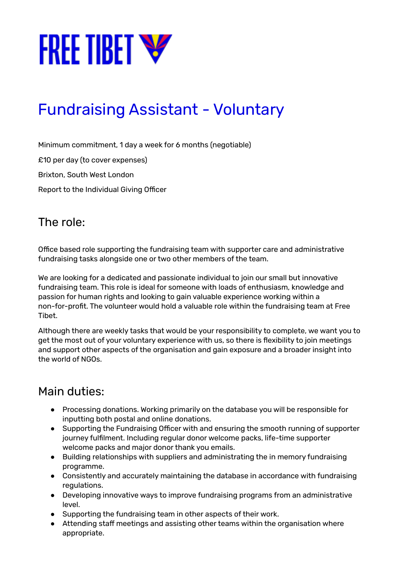

# Fundraising Assistant - Voluntary

Minimum commitment, 1 day a week for 6 months (negotiable)

£10 per day (to cover expenses)

Brixton, South West London

Report to the Individual Giving Officer

#### The role:

Office based role supporting the fundraising team with supporter care and administrative fundraising tasks alongside one or two other members of the team.

We are looking for a dedicated and passionate individual to join our small but innovative fundraising team. This role is ideal for someone with loads of enthusiasm, knowledge and passion for human rights and looking to gain valuable experience working within a non-for-profit. The volunteer would hold a valuable role within the fundraising team at Free Tibet.

Although there are weekly tasks that would be your responsibility to complete, we want you to get the most out of your voluntary experience with us, so there is flexibility to join meetings and support other aspects of the organisation and gain exposure and a broader insight into the world of NGOs.

#### Main duties:

- Processing donations. Working primarily on the database you will be responsible for inputting both postal and online donations.
- Supporting the Fundraising Officer with and ensuring the smooth running of supporter journey fulfilment. Including regular donor welcome packs, life-time supporter welcome packs and major donor thank you emails.
- Building relationships with suppliers and administrating the in memory fundraising programme.
- Consistently and accurately maintaining the database in accordance with fundraising regulations.
- Developing innovative ways to improve fundraising programs from an administrative level.
- Supporting the fundraising team in other aspects of their work.
- Attending staff meetings and assisting other teams within the organisation where appropriate.